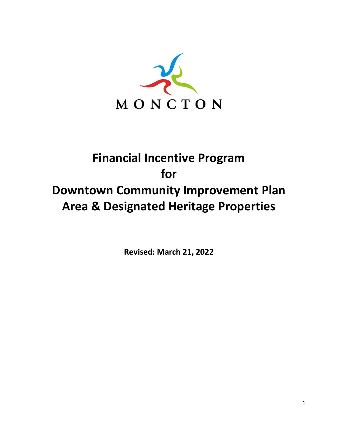

# **Financial Incentive Program for Downtown Community Improvement Plan Area & Designated Heritage Properties**

**Revised: March 21, 2022**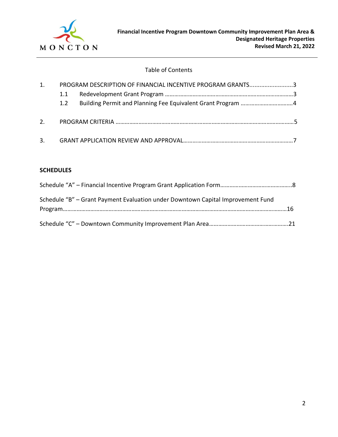

## Table of Contents

| 1. |     | PROGRAM DESCRIPTION OF FINANCIAL INCENTIVE PROGRAM GRANTS3 |  |
|----|-----|------------------------------------------------------------|--|
|    | 1.1 |                                                            |  |
|    | 1.2 |                                                            |  |
| 2. |     |                                                            |  |
|    |     |                                                            |  |

#### **SCHEDULES**

| Schedule "B" – Grant Payment Evaluation under Downtown Capital Improvement Fund |  |
|---------------------------------------------------------------------------------|--|
|                                                                                 |  |
|                                                                                 |  |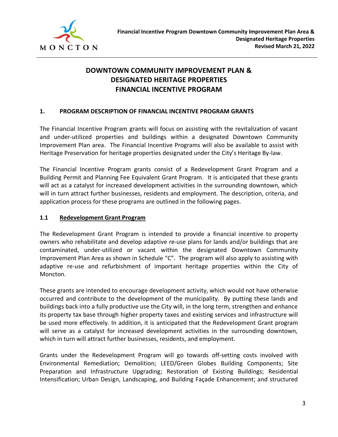

## **DOWNTOWN COMMUNITY IMPROVEMENT PLAN & DESIGNATED HERITAGE PROPERTIES FINANCIAL INCENTIVE PROGRAM**

## **1. PROGRAM DESCRIPTION OF FINANCIAL INCENTIVE PROGRAM GRANTS**

The Financial Incentive Program grants will focus on assisting with the revitalization of vacant and under-utilized properties and buildings within a designated Downtown Community Improvement Plan area. The Financial Incentive Programs will also be available to assist with Heritage Preservation for heritage properties designated under the City's Heritage By-law.

The Financial Incentive Program grants consist of a Redevelopment Grant Program and a Building Permit and Planning Fee Equivalent Grant Program. It is anticipated that these grants will act as a catalyst for increased development activities in the surrounding downtown, which will in turn attract further businesses, residents and employment. The description, criteria, and application process for these programs are outlined in the following pages.

## **1.1 Redevelopment Grant Program**

The Redevelopment Grant Program is intended to provide a financial incentive to property owners who rehabilitate and develop adaptive re-use plans for lands and/or buildings that are contaminated, under-utilized or vacant within the designated Downtown Community Improvement Plan Area as shown in Schedule "C". The program will also apply to assisting with adaptive re-use and refurbishment of important heritage properties within the City of Moncton.

These grants are intended to encourage development activity, which would not have otherwise occurred and contribute to the development of the municipality. By putting these lands and buildings back into a fully productive use the City will, in the long term, strengthen and enhance its property tax base through higher property taxes and existing services and infrastructure will be used more effectively. In addition, it is anticipated that the Redevelopment Grant program will serve as a catalyst for increased development activities in the surrounding downtown, which in turn will attract further businesses, residents, and employment.

Grants under the Redevelopment Program will go towards off-setting costs involved with Environmental Remediation; Demolition; LEED/Green Globes Building Components; Site Preparation and Infrastructure Upgrading; Restoration of Existing Buildings; Residential Intensification; Urban Design, Landscaping, and Building Façade Enhancement; and structured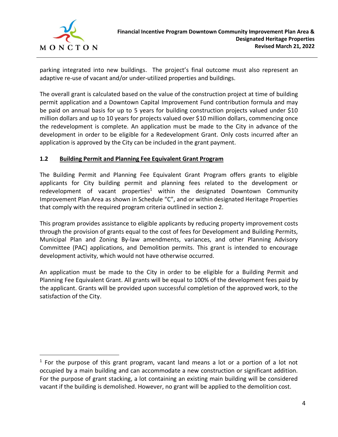

parking integrated into new buildings. The project's final outcome must also represent an adaptive re-use of vacant and/or under-utilized properties and buildings.

The overall grant is calculated based on the value of the construction project at time of building permit application and a Downtown Capital Improvement Fund contribution formula and may be paid on annual basis for up to 5 years for building construction projects valued under \$10 million dollars and up to 10 years for projects valued over \$10 million dollars, commencing once the redevelopment is complete. An application must be made to the City in advance of the development in order to be eligible for a Redevelopment Grant. Only costs incurred after an application is approved by the City can be included in the grant payment.

## **1.2 Building Permit and Planning Fee Equivalent Grant Program**

The Building Permit and Planning Fee Equivalent Grant Program offers grants to eligible applicants for City building permit and planning fees related to the development or redevelopment of vacant properties<sup>1</sup> within the designated Downtown Community Improvement Plan Area as shown in Schedule "C", and or within designated Heritage Properties that comply with the required program criteria outlined in section 2.

This program provides assistance to eligible applicants by reducing property improvement costs through the provision of grants equal to the cost of fees for Development and Building Permits, Municipal Plan and Zoning By-law amendments, variances, and other Planning Advisory Committee (PAC) applications, and Demolition permits. This grant is intended to encourage development activity, which would not have otherwise occurred.

An application must be made to the City in order to be eligible for a Building Permit and Planning Fee Equivalent Grant. All grants will be equal to 100% of the development fees paid by the applicant. Grants will be provided upon successful completion of the approved work, to the satisfaction of the City.

 $1$  For the purpose of this grant program, vacant land means a lot or a portion of a lot not occupied by a main building and can accommodate a new construction or significant addition. For the purpose of grant stacking, a lot containing an existing main building will be considered vacant if the building is demolished. However, no grant will be applied to the demolition cost.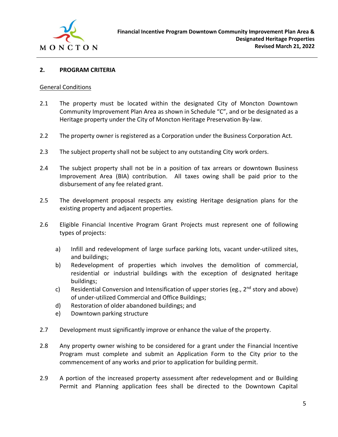

### **2. PROGRAM CRITERIA**

#### General Conditions

- 2.1 The property must be located within the designated City of Moncton Downtown Community Improvement Plan Area as shown in Schedule "C", and or be designated as a Heritage property under the City of Moncton Heritage Preservation By-law.
- 2.2 The property owner is registered as a Corporation under the Business Corporation Act.
- 2.3 The subject property shall not be subject to any outstanding City work orders.
- 2.4 The subject property shall not be in a position of tax arrears or downtown Business Improvement Area (BIA) contribution. All taxes owing shall be paid prior to the disbursement of any fee related grant.
- 2.5 The development proposal respects any existing Heritage designation plans for the existing property and adjacent properties.
- 2.6 Eligible Financial Incentive Program Grant Projects must represent one of following types of projects:
	- a) Infill and redevelopment of large surface parking lots, vacant under-utilized sites, and buildings;
	- b) Redevelopment of properties which involves the demolition of commercial, residential or industrial buildings with the exception of designated heritage buildings;
	- c) Residential Conversion and Intensification of upper stories (eg.,  $2^{nd}$  story and above) of under-utilized Commercial and Office Buildings;
	- d) Restoration of older abandoned buildings; and
	- e) Downtown parking structure
- 2.7 Development must significantly improve or enhance the value of the property.
- 2.8 Any property owner wishing to be considered for a grant under the Financial Incentive Program must complete and submit an Application Form to the City prior to the commencement of any works and prior to application for building permit.
- 2.9 A portion of the increased property assessment after redevelopment and or Building Permit and Planning application fees shall be directed to the Downtown Capital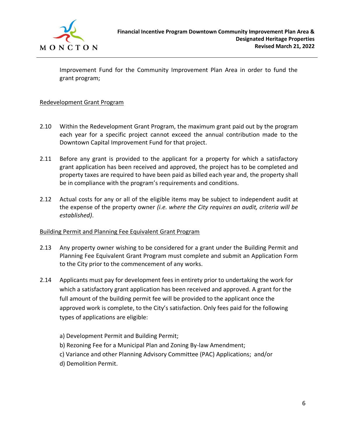

Improvement Fund for the Community Improvement Plan Area in order to fund the grant program;

### Redevelopment Grant Program

- 2.10 Within the Redevelopment Grant Program, the maximum grant paid out by the program each year for a specific project cannot exceed the annual contribution made to the Downtown Capital Improvement Fund for that project.
- 2.11 Before any grant is provided to the applicant for a property for which a satisfactory grant application has been received and approved, the project has to be completed and property taxes are required to have been paid as billed each year and, the property shall be in compliance with the program's requirements and conditions*.*
- 2.12 Actual costs for any or all of the eligible items may be subject to independent audit at the expense of the property owner *(i.e. where the City requires an audit, criteria will be established)*.

#### Building Permit and Planning Fee Equivalent Grant Program

- 2.13 Any property owner wishing to be considered for a grant under the Building Permit and Planning Fee Equivalent Grant Program must complete and submit an Application Form to the City prior to the commencement of any works.
- 2.14 Applicants must pay for development fees in entirety prior to undertaking the work for which a satisfactory grant application has been received and approved. A grant for the full amount of the building permit fee will be provided to the applicant once the approved work is complete, to the City's satisfaction. Only fees paid for the following types of applications are eligible:
	- a) Development Permit and Building Permit;
	- b) Rezoning Fee for a Municipal Plan and Zoning By-law Amendment;
	- c) Variance and other Planning Advisory Committee (PAC) Applications; and/or
	- d) Demolition Permit.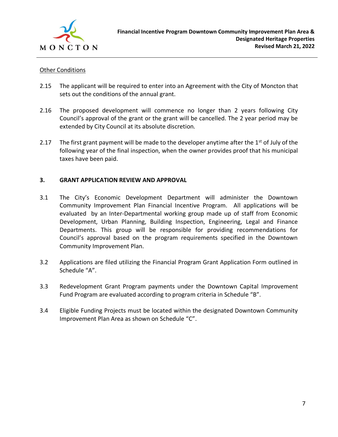

### Other Conditions

- 2.15 The applicant will be required to enter into an Agreement with the City of Moncton that sets out the conditions of the annual grant.
- 2.16 The proposed development will commence no longer than 2 years following City Council's approval of the grant or the grant will be cancelled. The 2 year period may be extended by City Council at its absolute discretion.
- 2.17 The first grant payment will be made to the developer anytime after the  $1<sup>st</sup>$  of July of the following year of the final inspection, when the owner provides proof that his municipal taxes have been paid.

## **3. GRANT APPLICATION REVIEW AND APPROVAL**

- 3.1 The City's Economic Development Department will administer the Downtown Community Improvement Plan Financial Incentive Program. All applications will be evaluated by an Inter-Departmental working group made up of staff from Economic Development, Urban Planning, Building Inspection, Engineering, Legal and Finance Departments. This group will be responsible for providing recommendations for Council's approval based on the program requirements specified in the Downtown Community Improvement Plan.
- 3.2 Applications are filed utilizing the Financial Program Grant Application Form outlined in Schedule "A".
- 3.3 Redevelopment Grant Program payments under the Downtown Capital Improvement Fund Program are evaluated according to program criteria in Schedule "B".
- 3.4 Eligible Funding Projects must be located within the designated Downtown Community Improvement Plan Area as shown on Schedule "C".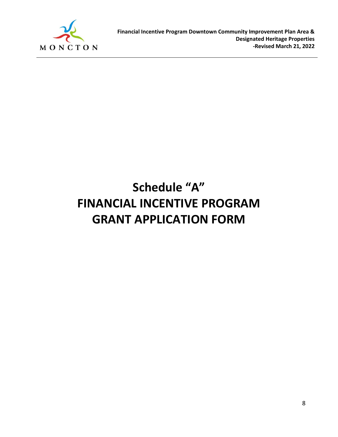

# **Schedule "A" FINANCIAL INCENTIVE PROGRAM GRANT APPLICATION FORM**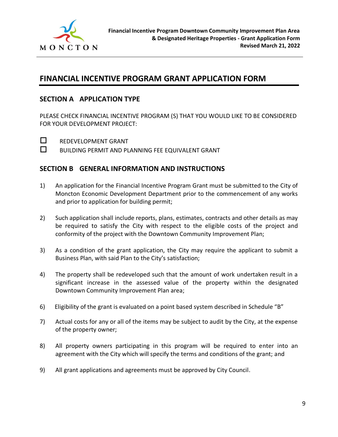

## **FINANCIAL INCENTIVE PROGRAM GRANT APPLICATION FORM**

## **SECTION A APPLICATION TYPE**

PLEASE CHECK FINANCIAL INCENTIVE PROGRAM (S) THAT YOU WOULD LIKE TO BE CONSIDERED FOR YOUR DEVELOPMENT PROJECT:



**NEDEVELOPMENT GRANT** 

 $\square$  BUILDING PERMIT AND PLANNING FEE EQUIVALENT GRANT

## **SECTION B GENERAL INFORMATION AND INSTRUCTIONS**

- 1) An application for the Financial Incentive Program Grant must be submitted to the City of Moncton Economic Development Department prior to the commencement of any works and prior to application for building permit;
- 2) Such application shall include reports, plans, estimates, contracts and other details as may be required to satisfy the City with respect to the eligible costs of the project and conformity of the project with the Downtown Community Improvement Plan;
- 3) As a condition of the grant application, the City may require the applicant to submit a Business Plan, with said Plan to the City's satisfaction;
- 4) The property shall be redeveloped such that the amount of work undertaken result in a significant increase in the assessed value of the property within the designated Downtown Community Improvement Plan area;
- 6) Eligibility of the grant is evaluated on a point based system described in Schedule "B"
- 7) Actual costs for any or all of the items may be subject to audit by the City, at the expense of the property owner;
- 8) All property owners participating in this program will be required to enter into an agreement with the City which will specify the terms and conditions of the grant; and
- 9) All grant applications and agreements must be approved by City Council.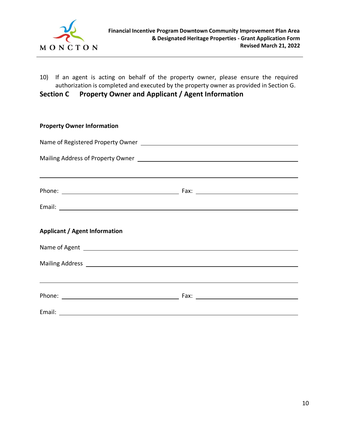

10) If an agent is acting on behalf of the property owner, please ensure the required authorization is completed and executed by the property owner as provided in Section G.

**Section C Property Owner and Applicant / Agent Information**

| <b>Property Owner Information</b>                                                                                                                                                                                              |  |
|--------------------------------------------------------------------------------------------------------------------------------------------------------------------------------------------------------------------------------|--|
|                                                                                                                                                                                                                                |  |
|                                                                                                                                                                                                                                |  |
| <u> 1989 - Andrea Santana, amerikana amerikana amerikana amerikana amerikana amerikana amerikana amerikana amerika</u>                                                                                                         |  |
|                                                                                                                                                                                                                                |  |
| <b>Applicant / Agent Information</b>                                                                                                                                                                                           |  |
| Name of Agent 2008 and 2008 and 2008 and 2008 and 2008 and 2008 and 2008 and 2008 and 2008 and 2008 and 2008 and 2008 and 2008 and 2008 and 2008 and 2008 and 2008 and 2008 and 2008 and 2008 and 2008 and 2008 and 2008 and 2 |  |
|                                                                                                                                                                                                                                |  |
| ,我们也不会有什么。""我们的人,我们也不会有什么?""我们的人,我们也不会有什么?""我们的人,我们也不会有什么?""我们的人,我们也不会有什么?""我们的人                                                                                                                                               |  |
|                                                                                                                                                                                                                                |  |
|                                                                                                                                                                                                                                |  |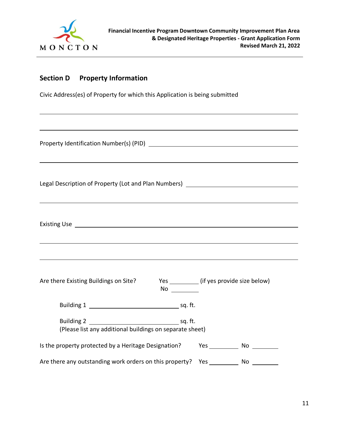

## **Section D Property Information**

Civic Address(es) of Property for which this Application is being submitted

Property Identification Number(s) (PID) Legal Description of Property (Lot and Plan Numbers) \_\_\_\_\_\_\_\_\_\_\_\_\_\_\_\_\_\_\_\_\_\_\_\_\_\_\_ Existing Use <u>example</u> Are there Existing Buildings on Site? Yes \_\_\_\_\_\_\_\_\_ (if yes provide size below)  $NO<sub>-</sub>$ Building 1 sq. ft. Building 2 sq. ft. (Please list any additional buildings on separate sheet) Is the property protected by a Heritage Designation? Yes \_\_\_\_\_\_\_\_\_\_\_ No \_\_\_\_\_\_\_\_ Are there any outstanding work orders on this property? Yes No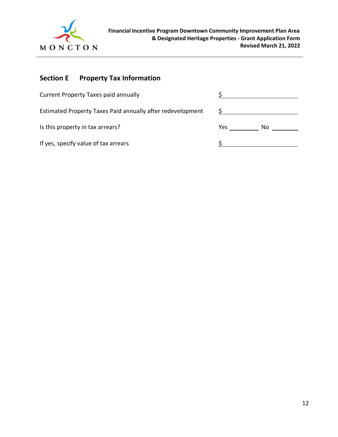

# **Section E Property Tax Information**

| <b>Current Property Taxes paid annually</b>                |     |     |
|------------------------------------------------------------|-----|-----|
| Estimated Property Taxes Paid annually after redevelopment |     |     |
| Is this property in tax arrears?                           | Yes | No. |
| If yes, specify value of tax arrears                       |     |     |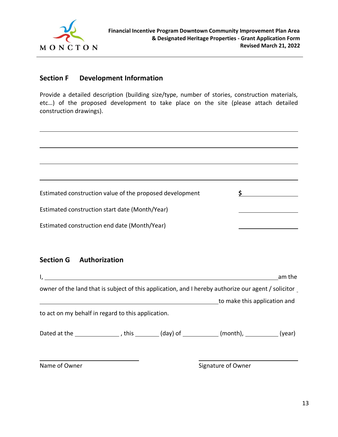

## **Section F Development Information**

Provide a detailed description (building size/type, number of stories, construction materials, etc…) of the proposed development to take place on the site (please attach detailed construction drawings).

Estimated construction value of the proposed development  $\frac{\zeta}{\zeta}$ Estimated construction start date (Month/Year) Estimated construction end date (Month/Year)

## **Section G Authorization**

| $\mathsf{I}$ , and the state of $\mathsf{I}$                                                 |  |                                                                                                     | am the |
|----------------------------------------------------------------------------------------------|--|-----------------------------------------------------------------------------------------------------|--------|
|                                                                                              |  | owner of the land that is subject of this application, and I hereby authorize our agent / solicitor |        |
|                                                                                              |  | to make this application and                                                                        |        |
| to act on my behalf in regard to this application.                                           |  |                                                                                                     |        |
| Dated at the $\_\_\_\_\_$ , this $\_\_\_\_$ (day) of $\_\_\_\_$ (month), $\_\_\_\_\_$ (year) |  |                                                                                                     |        |
| Name of Owner                                                                                |  | Signature of Owner                                                                                  |        |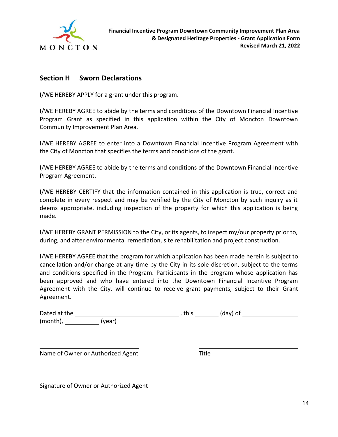

## **Section H Sworn Declarations**

I/WE HEREBY APPLY for a grant under this program.

I/WE HEREBY AGREE to abide by the terms and conditions of the Downtown Financial Incentive Program Grant as specified in this application within the City of Moncton Downtown Community Improvement Plan Area.

I/WE HEREBY AGREE to enter into a Downtown Financial Incentive Program Agreement with the City of Moncton that specifies the terms and conditions of the grant.

I/WE HEREBY AGREE to abide by the terms and conditions of the Downtown Financial Incentive Program Agreement.

I/WE HEREBY CERTIFY that the information contained in this application is true, correct and complete in every respect and may be verified by the City of Moncton by such inquiry as it deems appropriate, including inspection of the property for which this application is being made.

I/WE HEREBY GRANT PERMISSION to the City, or its agents, to inspect my/our property prior to, during, and after environmental remediation, site rehabilitation and project construction.

I/WE HEREBY AGREE that the program for which application has been made herein is subject to cancellation and/or change at any time by the City in its sole discretion, subject to the terms and conditions specified in the Program. Participants in the program whose application has been approved and who have entered into the Downtown Financial Incentive Program Agreement with the City, will continue to receive grant payments, subject to their Grant Agreement.

| Dated at the |        | this | (day) of |  |
|--------------|--------|------|----------|--|
| (month),     | (vear) |      |          |  |

Name of Owner or Authorized Agent Title

Signature of Owner or Authorized Agent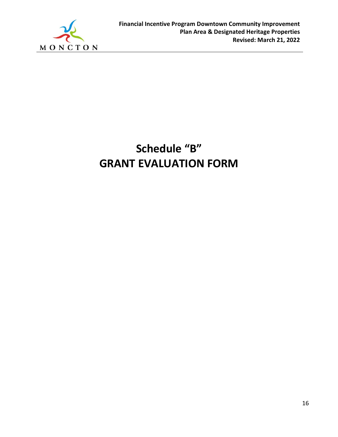

# **Schedule "B" GRANT EVALUATION FORM**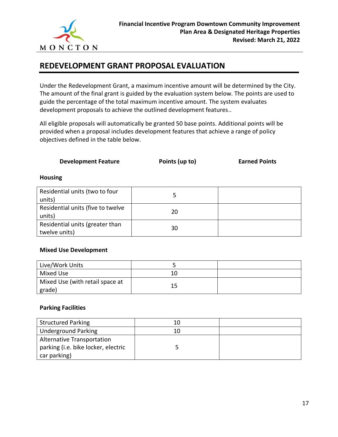

## **REDEVELOPMENT GRANT PROPOSAL EVALUATION**

Under the Redevelopment Grant, a maximum incentive amount will be determined by the City. The amount of the final grant is guided by the evaluation system below. The points are used to guide the percentage of the total maximum incentive amount. The system evaluates development proposals to achieve the outlined development features..

All eligible proposals will automatically be granted 50 base points. Additional points will be provided when a proposal includes development features that achieve a range of policy objectives defined in the table below.

**Development Feature Points (up to) Earned Points**

#### **Housing**

| Residential units (two to four<br>units)         |    |  |
|--------------------------------------------------|----|--|
| Residential units (five to twelve<br>units)      | 20 |  |
| Residential units (greater than<br>twelve units) | 30 |  |

#### **Mixed Use Development**

| Live/Work Units                           |    |  |
|-------------------------------------------|----|--|
| Mixed Use                                 | 10 |  |
| Mixed Use (with retail space at<br>grade) | 15 |  |

#### **Parking Facilities**

| <b>Structured Parking</b>           | 10 |  |
|-------------------------------------|----|--|
| Underground Parking                 | 10 |  |
| Alternative Transportation          |    |  |
| parking (i.e. bike locker, electric |    |  |
| car parking)                        |    |  |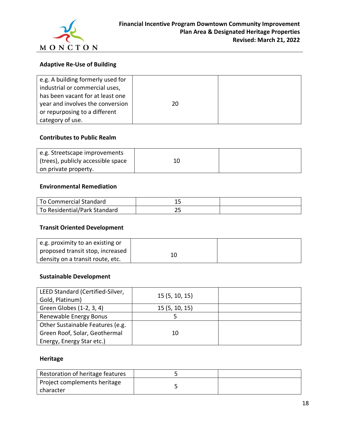

## **Adaptive Re-Use of Building**

| e.g. A building formerly used for |    |  |
|-----------------------------------|----|--|
| industrial or commercial uses,    |    |  |
| has been vacant for at least one  |    |  |
| year and involves the conversion  | 20 |  |
| or repurposing to a different     |    |  |
| category of use.                  |    |  |

#### **Contributes to Public Realm**

| e.g. Streetscape improvements      |  |
|------------------------------------|--|
| (trees), publicly accessible space |  |
| on private property.               |  |

#### **Environmental Remediation**

| To Commercial Standard       |  |
|------------------------------|--|
| To Residential/Park Standard |  |

## **Transit Oriented Development**

| e.g. proximity to an existing or |    |  |
|----------------------------------|----|--|
| proposed transit stop, increased | 10 |  |
| density on a transit route, etc. |    |  |

## **Sustainable Development**

| LEED Standard (Certified-Silver, | 15(5, 10, 15) |  |
|----------------------------------|---------------|--|
| Gold, Platinum)                  |               |  |
| Green Globes (1-2, 3, 4)         | 15(5, 10, 15) |  |
| Renewable Energy Bonus           |               |  |
| Other Sustainable Features (e.g. |               |  |
| Green Roof, Solar, Geothermal    | 10            |  |
| Energy, Energy Star etc.)        |               |  |

## **Heritage**

| Restoration of heritage features |  |
|----------------------------------|--|
| Project complements heritage     |  |
| character                        |  |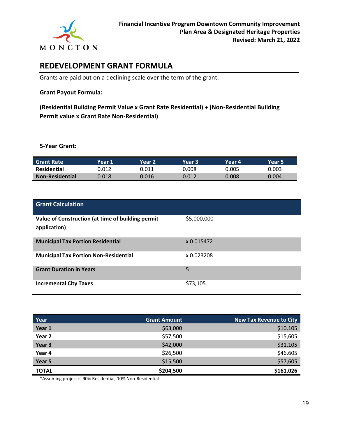

## **REDEVELOPMENT GRANT FORMULA**

Grants are paid out on a declining scale over the term of the grant.

## **Grant Payout Formula:**

**(Residential Building Permit Value x Grant Rate Residential) + (Non-Residential Building Permit value x Grant Rate Non-Residential)**

**5-Year Grant:**

| <b>Grant Rate</b>      | Year 1' | Year 2 | Year 3' | Year 4' | Year 5 |
|------------------------|---------|--------|---------|---------|--------|
| Residential            | 0.012   | 0.011  | 0.008   | 0.005   | ን.003  |
| <b>Non-Residential</b> | 0.018   | 0.016  | 0.012   | 0.008   | 0.004  |

| <b>Grant Calculation</b>                                          |             |
|-------------------------------------------------------------------|-------------|
| Value of Construction (at time of building permit<br>application) | \$5,000,000 |
| <b>Municipal Tax Portion Residential</b>                          | x 0.015472  |
| <b>Municipal Tax Portion Non-Residential</b>                      | x 0.023208  |
| <b>Grant Duration in Years</b>                                    | 5           |
| <b>Incremental City Taxes</b>                                     | \$73,105    |

| Year         | <b>Grant Amount</b> | <b>New Tax Revenue to City</b> |
|--------------|---------------------|--------------------------------|
| Year 1       | \$63,000            | \$10,105                       |
| Year 2       | \$57,500            | \$15,605                       |
| Year 3       | \$42,000            | \$31,105                       |
| Year 4       | \$26,500            | \$46,605                       |
| Year 5       | \$15,500            | \$57,605                       |
| <b>TOTAL</b> | \$204,500           | \$161,026                      |

\*Assuming project is 90% Residential, 10% Non-Residential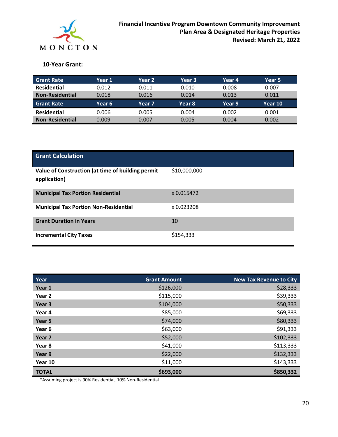

## **10-Year Grant:**

| <b>Grant Rate</b>      | Year 1 | Year 2 | Year 3 | Year 4 | Year 5  |
|------------------------|--------|--------|--------|--------|---------|
| <b>Residential</b>     | 0.012  | 0.011  | 0.010  | 0.008  | 0.007   |
| <b>Non-Residential</b> | 0.018  | 0.016  | 0.014  | 0.013  | 0.011   |
| <b>Grant Rate</b>      | Year 6 | Year 7 | Year 8 | Year 9 | Year 10 |
| <b>Residential</b>     | 0.006  | 0.005  | 0.004  | 0.002  | 0.001   |
| <b>Non-Residential</b> | 0.009  | 0.007  | 0.005  | 0.004  | 0.002   |

| <b>Grant Calculation</b>                                          |              |
|-------------------------------------------------------------------|--------------|
| Value of Construction (at time of building permit<br>application) | \$10,000,000 |
| <b>Municipal Tax Portion Residential</b>                          | x 0.015472   |
| <b>Municipal Tax Portion Non-Residential</b>                      | x 0.023208   |
| <b>Grant Duration in Years</b>                                    | 10           |
| <b>Incremental City Taxes</b>                                     | \$154,333    |

| Year              | <b>Grant Amount</b> | <b>New Tax Revenue to City</b> |
|-------------------|---------------------|--------------------------------|
| Year 1            | \$126,000           | \$28,333                       |
| Year <sub>2</sub> | \$115,000           | \$39,333                       |
| Year 3            | \$104,000           | \$50,333                       |
| Year 4            | \$85,000            | \$69,333                       |
| Year 5            | \$74,000            | \$80,333                       |
| Year 6            | \$63,000            | \$91,333                       |
| Year <sub>7</sub> | \$52,000            | \$102,333                      |
| Year 8            | \$41,000            | \$113,333                      |
| Year 9            | \$22,000            | \$132,333                      |
| Year 10           | \$11,000            | \$143,333                      |
| <b>TOTAL</b>      | \$693,000           | \$850,332                      |

\*Assuming project is 90% Residential, 10% Non-Residential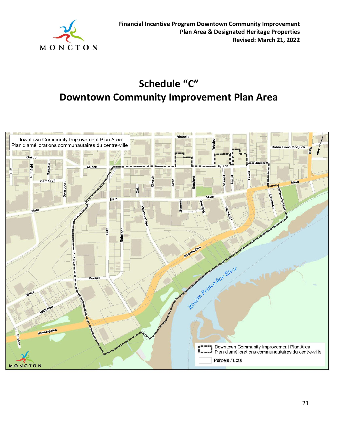

# **Schedule "C" Downtown Community Improvement Plan Area**